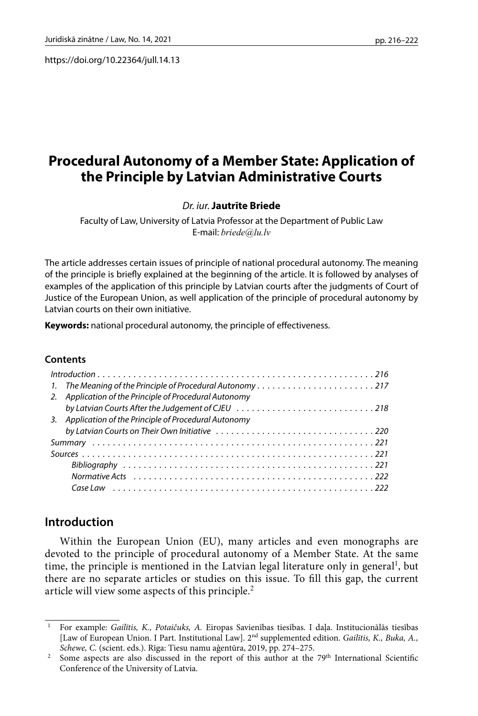https://doi.org/10.22364/jull.14.13

# **Procedural Autonomy of a Member State: Application of the Principle by Latvian Administrative Courts**

### *Dr. iur.* **Jautrīte Briede**

Faculty of Law, University of Latvia Professor at the Department of Public Law E-mail: *[briede@lu.lv](mailto:briede@lu.lv)*

The article addresses certain issues of principle of national procedural autonomy. The meaning of the principle is briefly explained at the beginning of the article. It is followed by analyses of examples of the application of this principle by Latvian courts after the judgments of Court of Justice of the European Union, as well application of the principle of procedural autonomy by Latvian courts on their own initiative.

**Keywords:** national procedural autonomy, the principle of effectiveness.

#### **Contents**

| 1. The Meaning of the Principle of Procedural Autonomy217 |
|-----------------------------------------------------------|
| 2. Application of the Principle of Procedural Autonomy    |
|                                                           |
| 3. Application of the Principle of Procedural Autonomy    |
| by Latvian Courts on Their Own Initiative 220             |
|                                                           |
|                                                           |
|                                                           |
|                                                           |
|                                                           |

# **Introduction**

Within the European Union (EU), many articles and even monographs are devoted to the principle of procedural autonomy of a Member State. At the same time, the principle is mentioned in the Latvian legal literature only in general<sup>1</sup>, but there are no separate articles or studies on this issue. To fill this gap, the current article will view some aspects of this principle.<sup>2</sup>

<sup>1</sup> For example: *Gailītis, K., Potaičuks, A.* Eiropas Savienības tiesības. I daļa. Institucionālās tiesības [Law of European Union. I Part. Institutional Law]. 2nd supplemented edition. *Gailītis, K., Buka, A., Schewe, C.* (scient. eds.). Rīga: Tiesu namu aģentūra, 2019, pp. 274–275.

<sup>&</sup>lt;sup>2</sup> Some aspects are also discussed in the report of this author at the  $79<sup>th</sup>$  International Scientific Conference of the University of Latvia.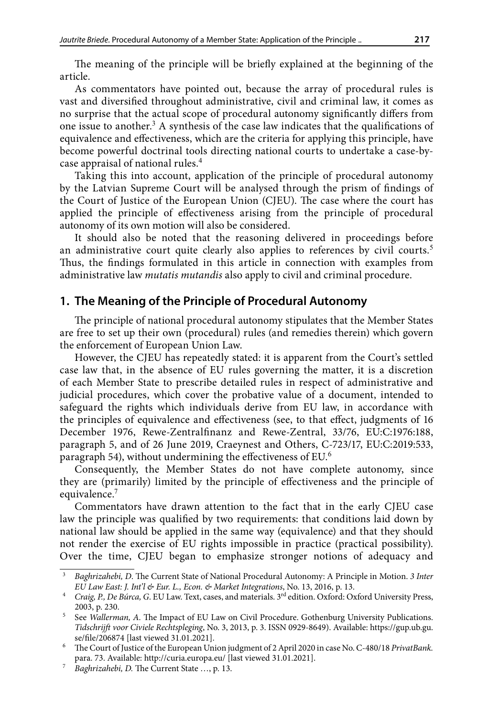The meaning of the principle will be briefly explained at the beginning of the article.

As commentators have pointed out, because the array of procedural rules is vast and diversified throughout administrative, civil and criminal law, it comes as no surprise that the actual scope of procedural autonomy significantly differs from one issue to another. $^3$  A synthesis of the case law indicates that the qualifications of equivalence and effectiveness, which are the criteria for applying this principle, have become powerful doctrinal tools directing national courts to undertake a case-bycase appraisal of national rules.<sup>4</sup>

Taking this into account, application of the principle of procedural autonomy by the Latvian Supreme Court will be analysed through the prism of findings of the Court of Justice of the European Union (CJEU). The case where the court has applied the principle of effectiveness arising from the principle of procedural autonomy of its own motion will also be considered.

It should also be noted that the reasoning delivered in proceedings before an administrative court quite clearly also applies to references by civil courts.<sup>5</sup> Thus, the findings formulated in this article in connection with examples from administrative law *mutatis mutandis* also apply to civil and criminal procedure.

# **1. The Meaning of the Principle of Procedural Autonomy**

The principle of national procedural autonomy stipulates that the Member States are free to set up their own (procedural) rules (and remedies therein) which govern the enforcement of European Union Law.

However, the CJEU has repeatedly stated: it is apparent from the Court's settled case law that, in the absence of EU rules governing the matter, it is a discretion of each Member State to prescribe detailed rules in respect of administrative and judicial procedures, which cover the probative value of a document, intended to safeguard the rights which individuals derive from EU law, in accordance with the principles of equivalence and effectiveness (see, to that effect, judgments of 16 December 1976, Rewe-Zentralfinanz and Rewe-Zentral, 33/76, EU:C:1976:188, paragraph 5, and of 26 June 2019, Craeynest and Others, C-723/17, EU:C:2019:533, paragraph 54), without undermining the effectiveness of EU.<sup>6</sup>

Consequently, the Member States do not have complete autonomy, since they are (primarily) limited by the principle of effectiveness and the principle of equivalence.<sup>7</sup>

Commentators have drawn attention to the fact that in the early CJEU case law the principle was qualified by two requirements: that conditions laid down by national law should be applied in the same way (equivalence) and that they should not render the exercise of EU rights impossible in practice (practical possibility). Over the time, CJEU began to emphasize stronger notions of adequacy and

<sup>3</sup> *Baghrizahebi, D*. The Current State of National Procedural Autonomy: A Principle in Motion. *3 Inter EU Law East: J. Int'l & Eur. L., Econ. & Market Integrations*, No. 13, 2016, p. 13.

<sup>4</sup> *Craig, P., De Búrca, G*. EU Law. Text, cases, and materials. 3rd edition. Oxford: Oxford University Press, 2003, p. 230.

<sup>5</sup> See *Wallerman, A.* The Impact of EU Law on Civil Procedure. Gothenburg University Publications. *Tidschrijft voor Civiele Rechtspleging*, No. 3, 2013, p. 3. ISSN 0929-8649). Available: [https://gup.ub.gu.](https://gup.ub.gu.se/file/206874) [se/file/206874](https://gup.ub.gu.se/file/206874) [last viewed 31.01.2021].

<sup>6</sup> The Court of Justice of the European Union judgment of 2 April 2020 in case No. C-480/18 *PrivatBank.*  para. 73. Available: <http://curia.europa.eu/> [last viewed 31.01.2021].

<sup>7</sup> *Baghrizahebi, D.* The Current State …, p. 13.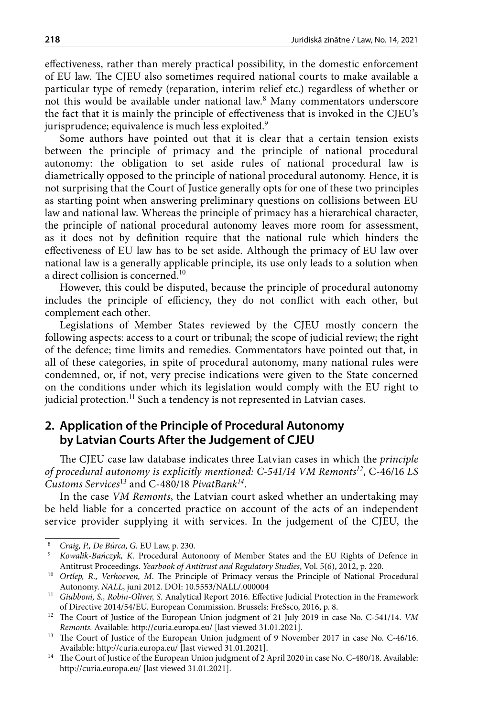effectiveness, rather than merely practical possibility, in the domestic enforcement of EU law. The CJEU also sometimes required national courts to make available a particular type of remedy (reparation, interim relief etc.) regardless of whether or not this would be available under national law.<sup>8</sup> Many commentators underscore the fact that it is mainly the principle of effectiveness that is invoked in the CJEU's jurisprudence; equivalence is much less exploited.<sup>9</sup>

Some authors have pointed out that it is clear that a certain tension exists between the principle of primacy and the principle of national procedural autonomy: the obligation to set aside rules of national procedural law is diametrically opposed to the principle of national procedural autonomy. Hence, it is not surprising that the Court of Justice generally opts for one of these two principles as starting point when answering preliminary questions on collisions between EU law and national law. Whereas the principle of primacy has a hierarchical character, the principle of national procedural autonomy leaves more room for assessment, as it does not by definition require that the national rule which hinders the effectiveness of EU law has to be set aside. Although the primacy of EU law over national law is a generally applicable principle, its use only leads to a solution when a direct collision is concerned.<sup>10</sup>

However, this could be disputed, because the principle of procedural autonomy includes the principle of efficiency, they do not conflict with each other, but complement each other.

Legislations of Member States reviewed by the CJEU mostly concern the following aspects: access to a court or tribunal; the scope of judicial review; the right of the defence; time limits and remedies. Commentators have pointed out that, in all of these categories, in spite of procedural autonomy, many national rules were condemned, or, if not, very precise indications were given to the State concerned on the conditions under which its legislation would comply with the EU right to judicial protection.<sup>11</sup> Such a tendency is not represented in Latvian cases.

# **2. Application of the Principle of Procedural Autonomy by Latvian Courts After the Judgement of CJEU**

The CJEU case law database indicates three Latvian cases in which the *principle of procedural autonomy is explicitly mentioned: C-541/14 VM Remonts<sup>12</sup>*, C-46/16 *LS Customs Services*<sup>13</sup> and C-480/18 *PivatBank<sup>14</sup>*.

In the case *VM Remonts*, the Latvian court asked whether an undertaking may be held liable for a concerted practice on account of the acts of an independent service provider supplying it with services. In the judgement of the CJEU, the

<sup>8</sup> *Craig, P., De Búrca, G.* EU Law, p. 230.

<sup>9</sup> *Kowalik-Bańczyk, K.* Procedural Autonomy of Member States and the EU Rights of Defence in Antitrust Proceedings. *Yearbook of Antitrust and Regulatory Studies*, Vol. 5(6), 2012, p. 220.

<sup>&</sup>lt;sup>10</sup> Ortlep, R., Verhoeven, M. The Principle of Primacy versus the Principle of National Procedural Autonomy. *NALL*, juni 2012. DOI: 10.5553/NALL/.000004

<sup>11</sup> *Giubboni, S., Robin-Oliver, S*. Analytical Report 2016. Effective Judicial Protection in the Framework of Directive 2014/54/EU. European Commission. Brussels: FreSsco, 2016, p. 8.

<sup>12</sup> The Court of Justice of the European Union judgment of 21 July 2019 in case No. C-541/14. *VM Remonts.* Available:<http://curia.europa.eu/>[last viewed 31.01.2021].

<sup>&</sup>lt;sup>13</sup> The Court of Justice of the European Union judgment of 9 November 2017 in case No. C-46/16. Available: <http://curia.europa.eu/>[last viewed 31.01.2021].

<sup>&</sup>lt;sup>14</sup> The Court of Justice of the European Union judgment of 2 April 2020 in case No. C-480/18. Available: <http://curia.europa.eu/>[last viewed 31.01.2021].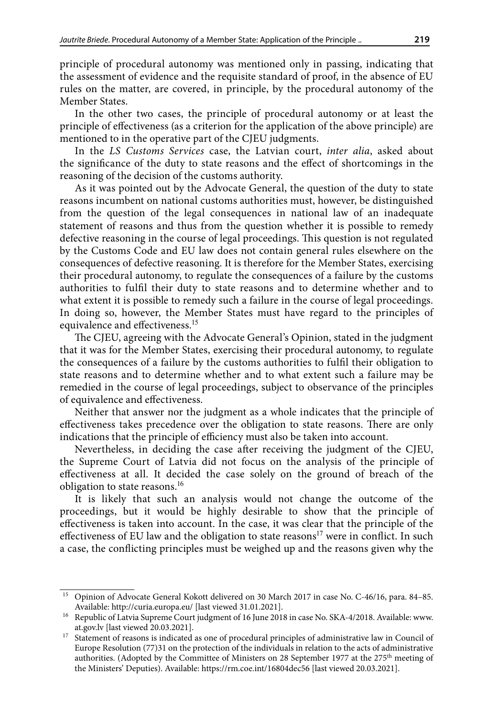principle of procedural autonomy was mentioned only in passing, indicating that the assessment of evidence and the requisite standard of proof, in the absence of EU rules on the matter, are covered, in principle, by the procedural autonomy of the Member States.

In the other two cases, the principle of procedural autonomy or at least the principle of effectiveness (as a criterion for the application of the above principle) are mentioned to in the operative part of the CJEU judgments.

In the *LS Customs Services* case, the Latvian court, *inter alia*, asked about the significance of the duty to state reasons and the effect of shortcomings in the reasoning of the decision of the customs authority.

As it was pointed out by the Advocate General, the question of the duty to state reasons incumbent on national customs authorities must, however, be distinguished from the question of the legal consequences in national law of an inadequate statement of reasons and thus from the question whether it is possible to remedy defective reasoning in the course of legal proceedings. This question is not regulated by the Customs Code and EU law does not contain general rules elsewhere on the consequences of defective reasoning. It is therefore for the Member States, exercising their procedural autonomy, to regulate the consequences of a failure by the customs authorities to fulfil their duty to state reasons and to determine whether and to what extent it is possible to remedy such a failure in the course of legal proceedings. In doing so, however, the Member States must have regard to the principles of equivalence and effectiveness.<sup>15</sup>

The CJEU, agreeing with the Advocate General's Opinion, stated in the judgment that it was for the Member States, exercising their procedural autonomy, to regulate the consequences of a failure by the customs authorities to fulfil their obligation to state reasons and to determine whether and to what extent such a failure may be remedied in the course of legal proceedings, subject to observance of the principles of equivalence and effectiveness.

Neither that answer nor the judgment as a whole indicates that the principle of effectiveness takes precedence over the obligation to state reasons. There are only indications that the principle of efficiency must also be taken into account.

Nevertheless, in deciding the case after receiving the judgment of the CJEU, the Supreme Court of Latvia did not focus on the analysis of the principle of effectiveness at all. It decided the case solely on the ground of breach of the obligation to state reasons.<sup>16</sup>

It is likely that such an analysis would not change the outcome of the proceedings, but it would be highly desirable to show that the principle of effectiveness is taken into account. In the case, it was clear that the principle of the effectiveness of EU law and the obligation to state reasons<sup>17</sup> were in conflict. In such a case, the conflicting principles must be weighed up and the reasons given why the

<sup>&</sup>lt;sup>15</sup> Opinion of Advocate General Kokott delivered on 30 March 2017 in case No. C-46/16, para. 84–85. Available: <http://curia.europa.eu/> [last viewed 31.01.2021].

<sup>&</sup>lt;sup>16</sup> Republic of Latvia Supreme Court judgment of 16 June 2018 in case No. SKA-4/2018. Available: www. at.gov.lv [last viewed 20.03.2021].

<sup>&</sup>lt;sup>17</sup> Statement of reasons is indicated as one of procedural principles of administrative law in Council of Europe Resolution (77)31 on the protection of the individuals in relation to the acts of administrative authorities. (Adopted by the Committee of Ministers on 28 September 1977 at the  $275<sup>th</sup>$  meeting of the Ministers' Deputies). Available:<https://rm.coe.int/16804dec56>[last viewed 20.03.2021].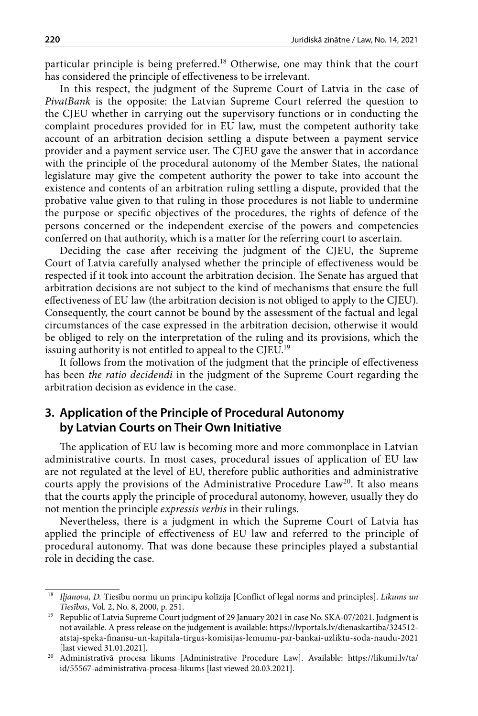particular principle is being preferred.<sup>18</sup> Otherwise, one may think that the court has considered the principle of effectiveness to be irrelevant.

In this respect, the judgment of the Supreme Court of Latvia in the case of *PivatBank* is the opposite: the Latvian Supreme Court referred the question to the CJEU whether in carrying out the supervisory functions or in conducting the complaint procedures provided for in EU law, must the competent authority take account of an arbitration decision settling a dispute between a payment service provider and a payment service user. The CJEU gave the answer that in accordance with the principle of the procedural autonomy of the Member States, the national legislature may give the competent authority the power to take into account the existence and contents of an arbitration ruling settling a dispute, provided that the probative value given to that ruling in those procedures is not liable to undermine the purpose or specific objectives of the procedures, the rights of defence of the persons concerned or the independent exercise of the powers and competencies conferred on that authority, which is a matter for the referring court to ascertain.

Deciding the case after receiving the judgment of the CJEU, the Supreme Court of Latvia carefully analysed whether the principle of effectiveness would be respected if it took into account the arbitration decision. The Senate has argued that arbitration decisions are not subject to the kind of mechanisms that ensure the full effectiveness of EU law (the arbitration decision is not obliged to apply to the CJEU). Consequently, the court cannot be bound by the assessment of the factual and legal circumstances of the case expressed in the arbitration decision, otherwise it would be obliged to rely on the interpretation of the ruling and its provisions, which the issuing authority is not entitled to appeal to the CJEU.<sup>19</sup>

It follows from the motivation of the judgment that the principle of effectiveness has been *the ratio decidendi* in the judgment of the Supreme Court regarding the arbitration decision as evidence in the case.

# **3. Application of the Principle of Procedural Autonomy by Latvian Courts on Their Own Initiative**

The application of EU law is becoming more and more commonplace in Latvian administrative courts. In most cases, procedural issues of application of EU law are not regulated at the level of EU, therefore public authorities and administrative courts apply the provisions of the Administrative Procedure Law<sup>20</sup>. It also means that the courts apply the principle of procedural autonomy, however, usually they do not mention the principle *expressis verbis* in their rulings.

Nevertheless, there is a judgment in which the Supreme Court of Latvia has applied the principle of effectiveness of EU law and referred to the principle of procedural autonomy. That was done because these principles played a substantial role in deciding the case.

<sup>18</sup> *Iļjanova, D.* Tiesību normu un principu kolīzija [Conflict of legal norms and principles]. *Likums un Tiesības*, Vol. 2, No. 8, 2000, p. 251.

<sup>&</sup>lt;sup>19</sup> Republic of Latvia Supreme Court judgment of 29 January 2021 in case No. SKA-07/2021. Judgment is not available. A press release on the judgement is available: https://lvportals.lv/dienaskartiba/324512 atstaj-speka-finansu-un-kapitala-tirgus-komisijas-lemumu-par-bankai-uzliktu-soda-naudu-2021 [last viewed 31.01.2021].

<sup>20</sup> Administratīvā procesa likums [Administrative Procedure Law]. Available: https://likumi.lv/ta/ id/55567-administrativa-procesa-likums [last viewed 20.03.2021].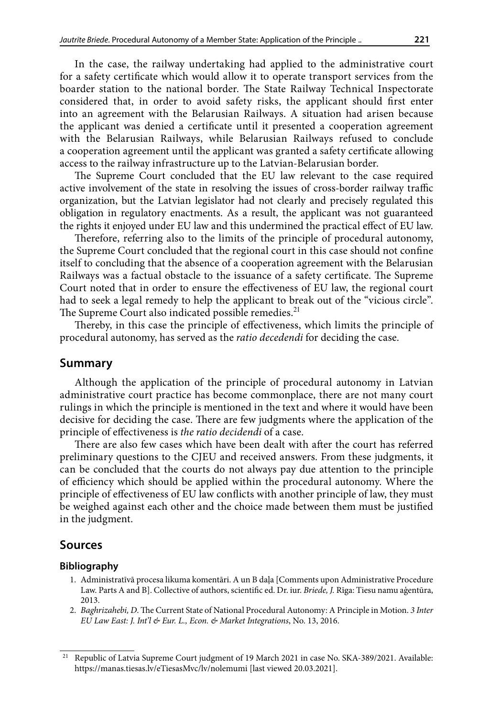In the case, the railway undertaking had applied to the administrative court for a safety certificate which would allow it to operate transport services from the boarder station to the national border. The State Railway Technical Inspectorate considered that, in order to avoid safety risks, the applicant should first enter into an agreement with the Belarusian Railways. A situation had arisen because the applicant was denied a certificate until it presented a cooperation agreement with the Belarusian Railways, while Belarusian Railways refused to conclude a cooperation agreement until the applicant was granted a safety certificate allowing access to the railway infrastructure up to the Latvian-Belarusian border.

The Supreme Court concluded that the EU law relevant to the case required active involvement of the state in resolving the issues of cross-border railway traffic organization, but the Latvian legislator had not clearly and precisely regulated this obligation in regulatory enactments. As a result, the applicant was not guaranteed the rights it enjoyed under EU law and this undermined the practical effect of EU law.

Therefore, referring also to the limits of the principle of procedural autonomy, the Supreme Court concluded that the regional court in this case should not confine itself to concluding that the absence of a cooperation agreement with the Belarusian Railways was a factual obstacle to the issuance of a safety certificate. The Supreme Court noted that in order to ensure the effectiveness of EU law, the regional court had to seek a legal remedy to help the applicant to break out of the "vicious circle". The Supreme Court also indicated possible remedies.<sup>21</sup>

Thereby, in this case the principle of effectiveness, which limits the principle of procedural autonomy, has served as the *ratio decedendi* for deciding the case.

### **Summary**

Although the application of the principle of procedural autonomy in Latvian administrative court practice has become commonplace, there are not many court rulings in which the principle is mentioned in the text and where it would have been decisive for deciding the case. There are few judgments where the application of the principle of effectiveness is *the ratio decidendi* of a case.

There are also few cases which have been dealt with after the court has referred preliminary questions to the CJEU and received answers. From these judgments, it can be concluded that the courts do not always pay due attention to the principle of efficiency which should be applied within the procedural autonomy. Where the principle of effectiveness of EU law conflicts with another principle of law, they must be weighed against each other and the choice made between them must be justified in the judgment.

# **Sources**

#### **Bibliography**

- 1. Administratīvā procesa likuma komentāri. A un B daļa [Comments upon Administrative Procedure Law. Parts A and B]. Collective of authors, scientific ed. Dr. iur. *Briede, J.* Rīga: Tiesu namu aģentūra, 2013.
- 2. *Baghrizahebi, D*. The Current State of National Procedural Autonomy: A Principle in Motion. *3 Inter EU Law East: J. Int'l & Eur. L., Econ. & Market Integrations*, No. 13, 2016.

<sup>21</sup> Republic of Latvia Supreme Court judgment of 19 March 2021 in case No. SKA-389/2021. Available: <https://manas.tiesas.lv/eTiesasMvc/lv/nolemumi>[last viewed 20.03.2021].